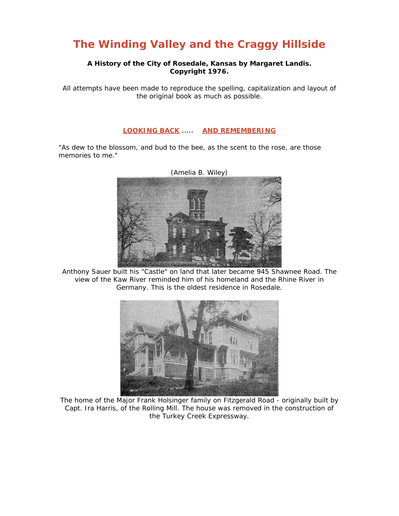## **The Winding Valley and the Craggy Hillside**

## **A History of the City of Rosedale, Kansas by Margaret Landis. Copyright 1976.**

All attempts have been made to reproduce the spelling, capitalization and layout of the original book as much as possible.

## **LOOKING BACK ..... AND REMEMBERING**

"As dew to the blossom, and bud to the bee, as the scent to the rose, are those memories to me."



Anthony Sauer built his "Castle" on land that later became 945 Shawnee Road. The view of the Kaw River reminded him of his homeland and the Rhine River in Germany. This is the oldest residence in Rosedale.



The home of the Major Frank Holsinger family on Fitzgerald Road - originally built by Capt. Ira Harris, of the Rolling Mill. The house was removed in the construction of the Turkey Creek Expressway.

(Amelia B. Wiley)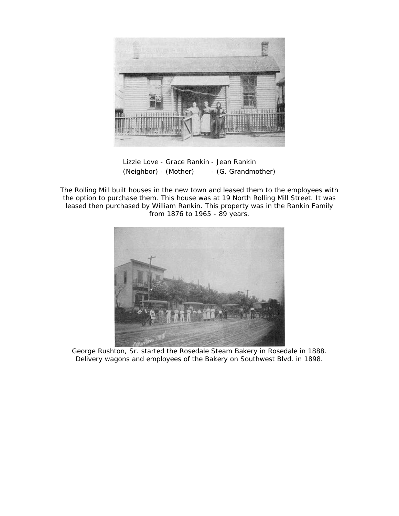

Lizzie Love - Grace Rankin - Jean Rankin (Neighbor) - (Mother) - (G. Grandmother)

The Rolling Mill built houses in the new town and leased them to the employees with the option to purchase them. This house was at 19 North Rolling Mill Street. It was leased then purchased by William Rankin. This property was in the Rankin Family from 1876 to 1965 - 89 years.



George Rushton, Sr. started the Rosedale Steam Bakery in Rosedale in 1888. Delivery wagons and employees of the Bakery on Southwest Blvd. in 1898.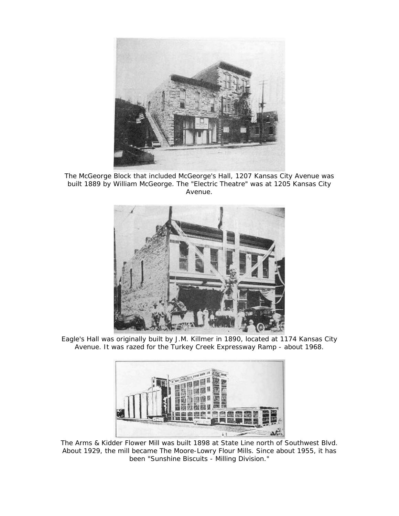

The McGeorge Block that included McGeorge's Hall, 1207 Kansas City Avenue was built 1889 by William McGeorge. The "Electric Theatre" was at 1205 Kansas City Avenue.



Eagle's Hall was originally built by J.M. Killmer in 1890, located at 1174 Kansas City Avenue. It was razed for the Turkey Creek Expressway Ramp - about 1968.



The Arms & Kidder Flower Mill was built 1898 at State Line north of Southwest Blvd. About 1929, the mill became The Moore-Lowry Flour Mills. Since about 1955, it has been "Sunshine Biscuits - Milling Division."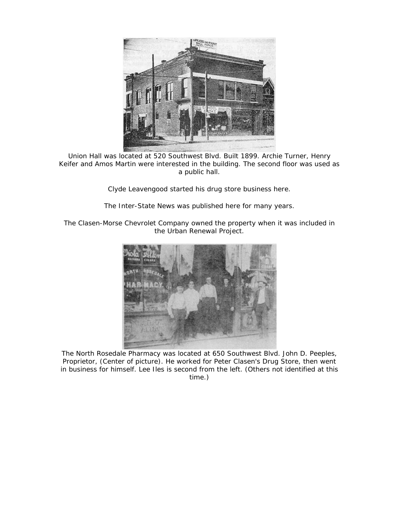

Union Hall was located at 520 Southwest Blvd. Built 1899. Archie Turner, Henry Keifer and Amos Martin were interested in the building. The second floor was used as a public hall.

Clyde Leavengood started his drug store business here.

The Inter-State News was published here for many years.

The Clasen-Morse Chevrolet Company owned the property when it was included in the Urban Renewal Project.



The North Rosedale Pharmacy was located at 650 Southwest Blvd. John D. Peeples, Proprietor, (Center of picture). He worked for Peter Clasen's Drug Store, then went in business for himself. Lee Iles is second from the left. (Others not identified at this time.)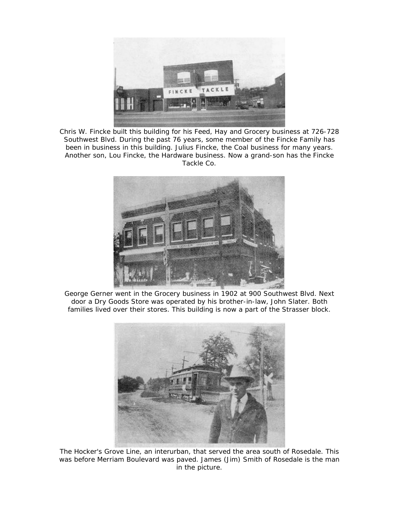

Chris W. Fincke built this building for his Feed, Hay and Grocery business at 726-728 Southwest Blvd. During the past 76 years, some member of the Fincke Family has been in business in this building. Julius Fincke, the Coal business for many years. Another son, Lou Fincke, the Hardware business. Now a grand-son has the Fincke Tackle Co.



George Gerner went in the Grocery business in 1902 at 900 Southwest Blvd. Next door a Dry Goods Store was operated by his brother-in-law, John Slater. Both families lived over their stores. This building is now a part of the Strasser block.



The Hocker's Grove Line, an interurban, that served the area south of Rosedale. This was before Merriam Boulevard was paved. James (Jim) Smith of Rosedale is the man in the picture.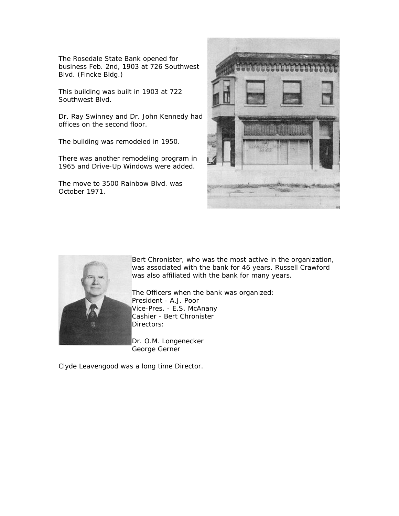The Rosedale State Bank opened for business Feb. 2nd, 1903 at 726 Southwest Blvd. (Fincke Bldg.)

This building was built in 1903 at 722 Southwest Blvd.

Dr. Ray Swinney and Dr. John Kennedy had offices on the second floor.

The building was remodeled in 1950.

There was another remodeling program in 1965 and Drive-Up Windows were added.

The move to 3500 Rainbow Blvd. was October 1971.





Bert Chronister, who was the most active in the organization, was associated with the bank for 46 years. Russell Crawford was also affiliated with the bank for many years.

The Officers when the bank was organized: President - A.J. Poor Vice-Pres. - E.S. McAnany Cashier - Bert Chronister Directors:

George Gerner Dr. O.M. Longenecker

Clyde Leavengood was a long time Director.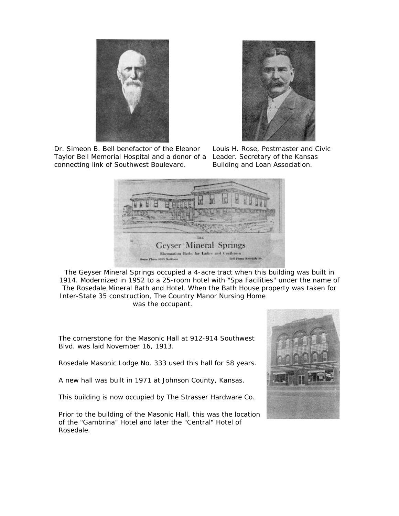

Dr. Simeon B. Bell benefactor of the Eleanor Taylor Bell Memorial Hospital and a donor of a connecting link of Southwest Boulevard.



Louis H. Rose, Postmaster and Civic Leader. Secretary of the Kansas Building and Loan Association.



The Geyser Mineral Springs occupied a 4-acre tract when this building was built in 1914. Modernized in 1952 to a 25-room hotel with "Spa Facilities" under the name of The Rosedale Mineral Bath and Hotel. When the Bath House property was taken for Inter-State 35 construction, The Country Manor Nursing Home

was the occupant.

The cornerstone for the Masonic Hall at 912-914 Southwest Blvd. was laid November 16, 1913.

Rosedale Masonic Lodge No. 333 used this hall for 58 years.

A new hall was built in 1971 at Johnson County, Kansas.

This building is now occupied by The Strasser Hardware Co.

Prior to the building of the Masonic Hall, this was the location of the "Gambrina" Hotel and later the "Central" Hotel of Rosedale.

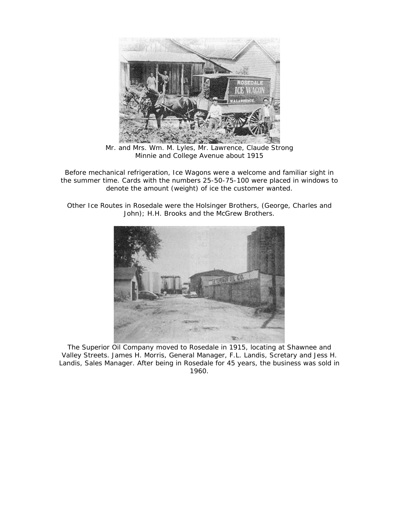

Mr. and Mrs. Wm. M. Lyles, Mr. Lawrence, Claude Strong Minnie and College Avenue about 1915

Before mechanical refrigeration, Ice Wagons were a welcome and familiar sight in the summer time. Cards with the numbers 25-50-75-100 were placed in windows to denote the amount (weight) of ice the customer wanted.

Other Ice Routes in Rosedale were the Holsinger Brothers, (George, Charles and John); H.H. Brooks and the McGrew Brothers.



The Superior Oil Company moved to Rosedale in 1915, locating at Shawnee and Valley Streets. James H. Morris, General Manager, F.L. Landis, Scretary and Jess H. Landis, Sales Manager. After being in Rosedale for 45 years, the business was sold in 1960.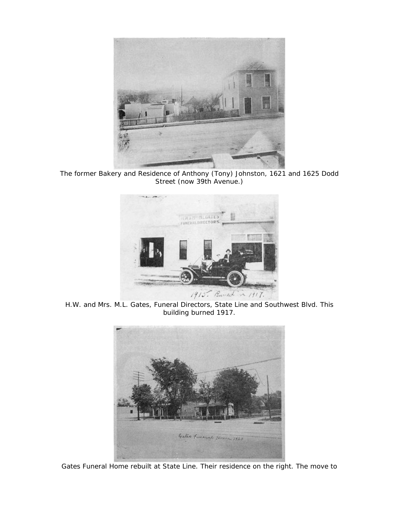

The former Bakery and Residence of Anthony (Tony) Johnston, 1621 and 1625 Dodd Street (now 39th Avenue.)



H.W. and Mrs. M.L. Gates, Funeral Directors, State Line and Southwest Blvd. This building burned 1917.



Gates Funeral Home rebuilt at State Line. Their residence on the right. The move to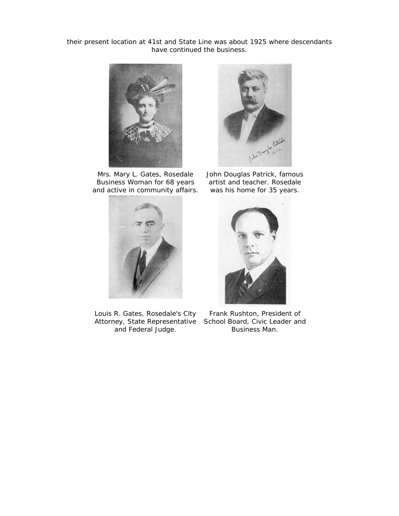their present location at 41st and State Line was about 1925 where descendants have continued the business.



Mrs. Mary L. Gates, Rosedale Business Woman for 68 years and active in community affairs.



Louis R. Gates, Rosedale's City Attorney, State Representative School Board, Civic Leader and and Federal Judge.



John Douglas Patrick, famous artist and teacher. Rosedale was his home for 35 years.



Frank Rushton, President of Business Man.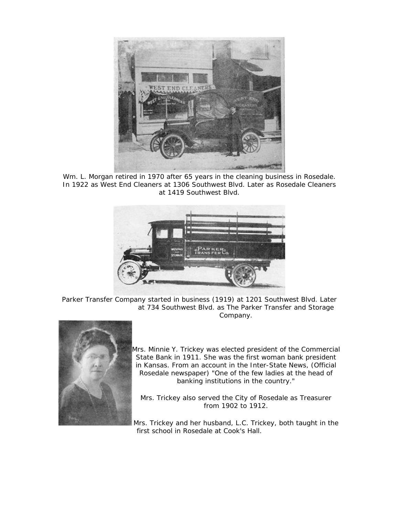

Wm. L. Morgan retired in 1970 after 65 years in the cleaning business in Rosedale. In 1922 as West End Cleaners at 1306 Southwest Blvd. Later as Rosedale Cleaners at 1419 Southwest Blvd.



Parker Transfer Company started in business (1919) at 1201 Southwest Blvd. Later at 734 Southwest Blvd. as The Parker Transfer and Storage Company.



S tate Bank in 1911. She was the first woman bank president i n Kansas. From an account in the Inter-State News, (Official Rosedale newspaper) "One of the few ladies at the head of banking institutions in the country." Mrs. Minnie Y. Trickey was elected president of the Commercial

Mrs. Trickey also served the City of Rosedale as Treasurer from 1902 to 1912.

Mrs. Trickey and her husband, L.C. Trickey, both taught in the first school in Rosedale at Cook's Hall.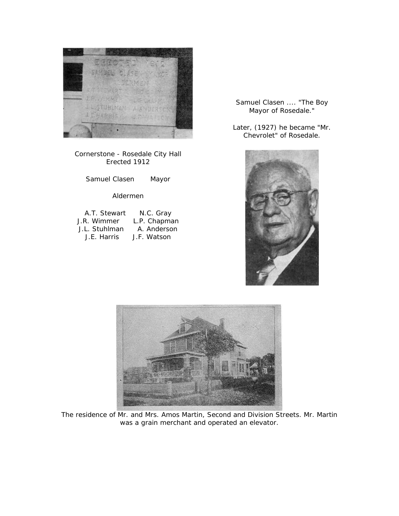

Cornerstone - Rosedale City Hall Erected 1912

Samuel Clasen Mayor

## Aldermen

| A.T. Stewart  | N.C. Gray    |
|---------------|--------------|
| J.R. Wimmer   | L.P. Chapman |
| J.L. Stuhlman | A. Anderson  |
| J.E. Harris   | J.F. Watson  |

Samuel Clasen .... "The Boy Mayor of Rosedale."

Later, (1927) he became "Mr. Chevrolet" of Rosedale.





The residence of Mr. and Mrs. Amos Martin, Second and Division Streets. Mr. Martin was a grain merchant and operated an elevator.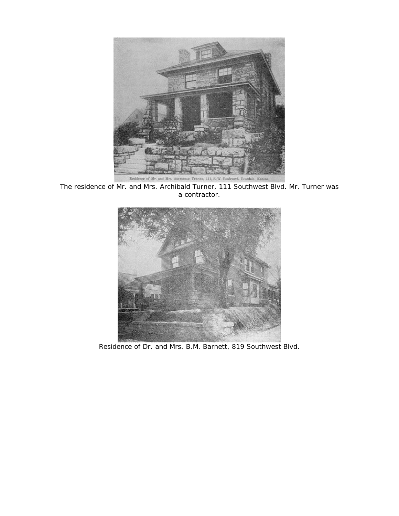

The residence of Mr. and Mrs. Archibald Turner, 111 Southwest Blvd. Mr. Turner was a contractor.



Residence of Dr. and Mrs. B.M. Barnett, 819 Southwest Blvd.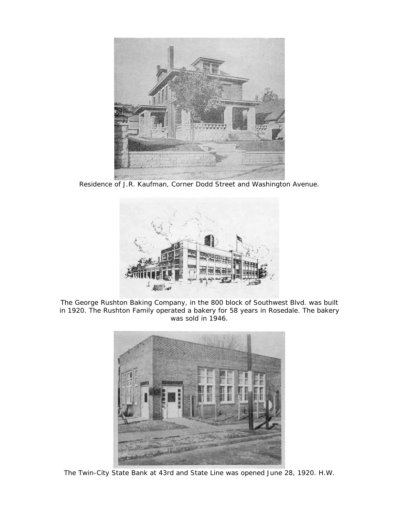

Residence of J.R. Kaufman, Corner Dodd Street and Washington Avenue.



The George Rushton Baking Company, in the 800 block of Southwest Blvd. was built in 1920. The Rushton Family operated a bakery for 58 years in Rosedale. The bakery was sold in 1946.



The Twin-City State Bank at 43rd and State Line was opened June 28, 1920. H.W.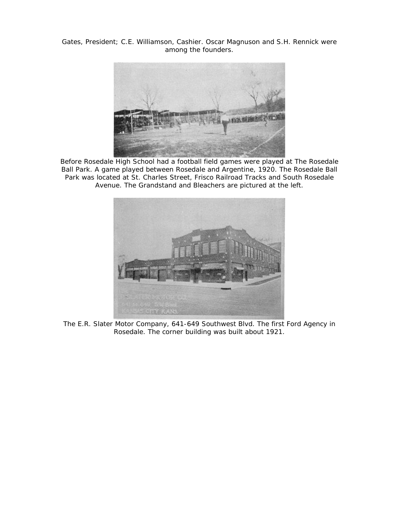Gates, President; C.E. Williamson, Cashier. Oscar Magnuson and S.H. Rennick were among the founders.



Before Rosedale High School had a football field games were played at The Rosedale Ball Park. A game played between Rosedale and Argentine, 1920. The Rosedale Ball Park was located at St. Charles Street, Frisco Railroad Tracks and South Rosedale Avenue. The Grandstand and Bleachers are pictured at the left.



The E.R. Slater Motor Company, 641-649 Southwest Blvd. The first Ford Agency in Rosedale. The corner building was built about 1921.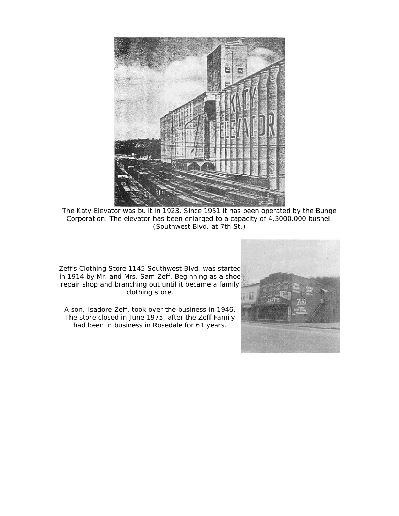

The Katy Elevator was built in 1923. Since 1951 it has been operated by the Bunge Corporation. The elevator has been enlarged to a capacity of 4,3000,000 bushel. (Southwest Blvd. at 7th St.)

Zeff's Clothing Store 1145 Southwest Blvd. was started in 1914 by Mr. and Mrs. Sam Zeff. Beginning as a shoe repair shop and branching out until it became a family clothing store.

A son, Isadore Zeff, took over the business in 1946. The store closed in June 1975, after the Zeff Family had been in business in Rosedale for 61 years.